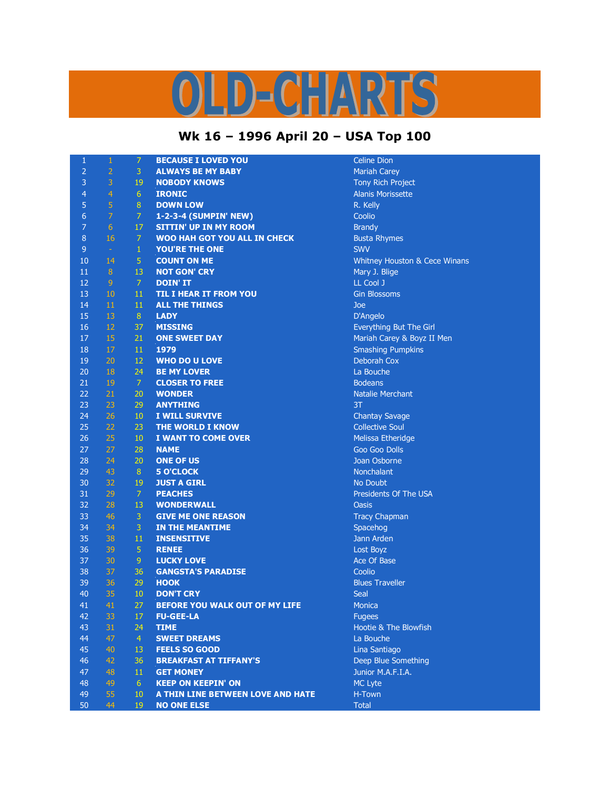## OLD-CHARTS

## **Wk 16 – 1996 April 20 – USA Top 100**

| $\mathbf{1}$   | $\mathbf{1}$   | $\overline{7}$  | <b>BECAUSE I LOVED YOU</b>          | <b>Celine Dion</b>  |
|----------------|----------------|-----------------|-------------------------------------|---------------------|
| $\overline{2}$ | $\overline{2}$ | 3               | <b>ALWAYS BE MY BABY</b>            | Mariah Care         |
| 3              | 3              | 19              | <b>NOBODY KNOWS</b>                 | Tony Rich F         |
| $\overline{4}$ | $\overline{4}$ | $6\phantom{.}6$ | <b>IRONIC</b>                       | <b>Alanis Moris</b> |
| 5              | $\overline{5}$ | $\, 8$          | <b>DOWN LOW</b>                     | R. Kelly            |
| $\overline{6}$ | $\overline{7}$ | $\overline{7}$  | 1-2-3-4 (SUMPIN' NEW)               | Coolio              |
| $\overline{7}$ | $\overline{6}$ | 17              | <b>SITTIN' UP IN MY ROOM</b>        | <b>Brandy</b>       |
| $\bf 8$        | 16             | $\overline{7}$  | <b>WOO HAH GOT YOU ALL IN CHECK</b> | <b>Busta Rhyn</b>   |
| $\overline{9}$ | $\omega$       | $\mathbf{1}$    | YOU'RE THE ONE                      | <b>SWV</b>          |
| 10             | 14             | 5 <sup>1</sup>  | <b>COUNT ON ME</b>                  | <b>Whitney Ho</b>   |
| 11             | $\bf 8$        | 13              | <b>NOT GON' CRY</b>                 | Mary J. Blig        |
| 12             | $\overline{9}$ | $\mathcal{I}$   | <b>DOIN' IT</b>                     | LL Cool J           |
| 13             | 10             | 11              | <b>TIL I HEAR IT FROM YOU</b>       | <b>Gin Blossor</b>  |
| 14             | 11             | 11              | <b>ALL THE THINGS</b>               | Joe                 |
| 15             | 13             | $8\,$           | <b>LADY</b>                         | D'Angelo            |
| 16             | 12             | 37              | <b>MISSING</b>                      | Everything          |
| 17             | 15             | 21              | <b>ONE SWEET DAY</b>                | Mariah Care         |
| 18             | 17             | $11\,$          | 1979                                | Smashing F          |
| 19             | 20             | 12              | <b>WHO DO U LOVE</b>                | Deborah Co          |
| 20             | 18             | 24              | <b>BE MY LOVER</b>                  | La Bouche           |
| 21             | 19             | $\overline{7}$  | <b>CLOSER TO FREE</b>               | <b>Bodeans</b>      |
| 22             | 21             | 20              | <b>WONDER</b>                       | <b>Natalie Mer</b>  |
| 23             | 23             | 29              | <b>ANYTHING</b>                     | 3T                  |
| 24             | 26             | $10\,$          | I WILL SURVIVE                      | <b>Chantay Sa</b>   |
| 25             | 22             | 23              | <b>THE WORLD I KNOW</b>             | <b>Collective S</b> |
| 26             | 25             | 10              | I WANT TO COME OVER                 | <b>Melissa Eth</b>  |
| 27             | 27             | 28              | <b>NAME</b>                         | Goo Goo D           |
| 28             | 24             | 20              | <b>ONE OF US</b>                    | Joan Osbor          |
| 29             | 43             | $8\,$           | <b>5 O'CLOCK</b>                    | Nonchalant          |
| 30             | 32             | 19              | <b>JUST A GIRL</b>                  | No Doubt            |
| 31             | 29             | $\mathcal{I}$   | <b>PEACHES</b>                      | Presidents          |
| 32             | 28             | 13              | <b>WONDERWALL</b>                   | <b>Oasis</b>        |
| 33             | 46             | 3               | <b>GIVE ME ONE REASON</b>           | <b>Tracy Chap</b>   |
| 34             | 34             | 3               | IN THE MEANTIME                     | Spacehog            |
| 35             | 38             | 11              | <b>INSENSITIVE</b>                  | Jann Arden          |
| 36             | 39             | $\overline{5}$  | <b>RENEE</b>                        | Lost Boyz           |
| 37             | 30             | 9               | <b>LUCKY LOVE</b>                   | Ace Of Base         |
| 38             | 37             | 36              | <b>GANGSTA'S PARADISE</b>           | Coolio              |
| 39             | 36             | 29              | <b>HOOK</b>                         | <b>Blues Trave</b>  |
| 40             | 35             | 10              | <b>DON'T CRY</b>                    | Seal                |
| 41             | 41             | 27              | BEFORE YOU WALK OUT OF MY LIFE      | Monica              |
| 42             | 33             | 17              | <b>FU-GEE-LA</b>                    | <b>Fugees</b>       |
| 43             | 31             | 24              | <b>TIME</b>                         | Hootie & Tl         |
| 44             | 47             | $\overline{4}$  | <b>SWEET DREAMS</b>                 | La Bouche           |
| 45             | 40             | 13              | <b>FEELS SO GOOD</b>                | Lina Santia         |
| 46             | 42             | 36              | <b>BREAKFAST AT TIFFANY'S</b>       | Deep Blue :         |
| 47             | 48             | 11              | <b>GET MONEY</b>                    | Junior M.A.         |
| 48             | 49             | 6 <sup>1</sup>  | <b>KEEP ON KEEPIN' ON</b>           | MC Lyte             |
| 49             | 55             | 10              | A THIN LINE BETWEEN LOVE AND HATE   | H-Town              |
| 50             | 44             | 19              | <b>NO ONE ELSE</b>                  | <b>Total</b>        |
|                |                |                 |                                     |                     |

**Example Dion** ariah Carey 3 3 19 **NOBODY KNOWS** Tony Rich Project anis Morissette **usta Rhymes hitney Houston & Cece Winans** lary J. Blige in Blossoms verything But The Girl ariah Carey & Boyz II Men mashing Pumpkins eborah Cox atalie Merchant **12 26 26 10 26 10 26 10 26 10 26 10 26 10 26 10 26 10 26 10 26 10 26 10 26 10 26 10 26 10 26 10 26 10 26 10 26 10 26 10 26 10 26 10 26 10 26 10 26 10 26 10 26 10 26 10 26 10 26 10 26 10 26 10 26 10 26 10 26 10 26 10 26 10** ollective Soul lelissa Etheridge oo Goo Dolls **Dan Osborne esidents Of The USA** racy Chapman **Inn Arden** ce Of Base ues Traveller ootie & The Blowfish **na Santiago** eep Blue Something 47 48 11 **GET MONEY** Junior M.A.F.I.A.